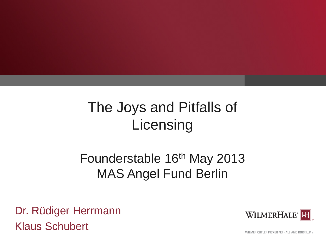# The Joys and Pitfalls of **Licensing**

## Founderstable 16<sup>th</sup> May 2013 MAS Angel Fund Berlin

Dr. Rüdiger Herrmann Klaus Schubert



WILMER CUTLER PICKERING HALE AND DORR LLP ®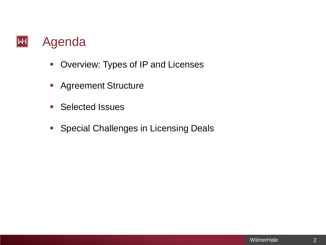#### $|\mathsf{H}|$ Agenda

- **-** Overview: Types of IP and Licenses
- **Agreement Structure**
- **Selected Issues**
- **Special Challenges in Licensing Deals**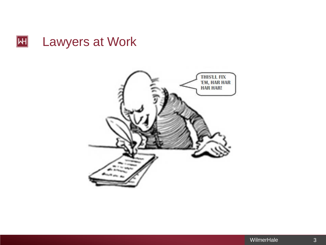

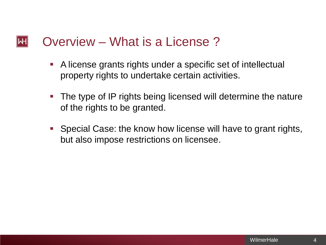#### Overview – What is a License ?  $\mathsf{|\mathsf{H}|}$

- A license grants rights under a specific set of intellectual property rights to undertake certain activities.
- **The type of IP rights being licensed will determine the nature** of the rights to be granted.
- Special Case: the know how license will have to grant rights, but also impose restrictions on licensee.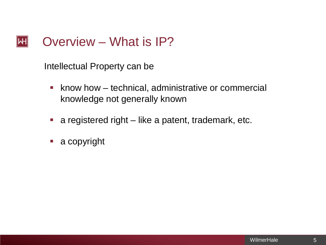#### Overview – What is IP?  $\left\Vert \mathsf{H}\right\Vert$

Intellectual Property can be

- **Khow how technical, administrative or commercial** knowledge not generally known
- **a** registered right like a patent, trademark, etc.
- a copyright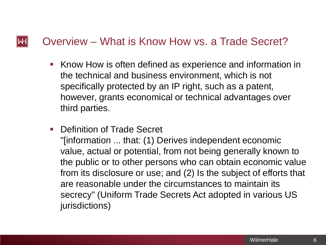### Overview – What is Know How vs. a Trade Secret?

 $|\mathsf{H}|$ 

- Know How is often defined as experience and information in the technical and business environment, which is not specifically protected by an IP right, such as a patent, however, grants economical or technical advantages over third parties.
- **Definition of Trade Secret** "[information ... that: (1) Derives independent economic value, actual or potential, from not being generally known to the public or to other persons who can obtain economic value from its disclosure or use; and (2) Is the subject of efforts that are reasonable under the circumstances to maintain its secrecy" (Uniform Trade Secrets Act adopted in various US jurisdictions)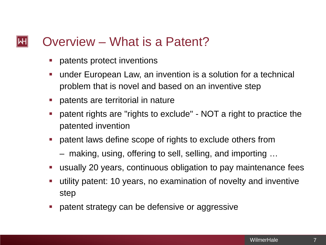#### Overview – What is a Patent?  $\mathsf{|\mathsf{H}|}$

- **Patents protect inventions**
- under European Law, an invention is a solution for a technical problem that is novel and based on an inventive step
- **Perify-** patents are territorial in nature
- patent rights are "rights to exclude" NOT a right to practice the patented invention
- patent laws define scope of rights to exclude others from
	- making, using, offering to sell, selling, and importing …
- usually 20 years, continuous obligation to pay maintenance fees
- utility patent: 10 years, no examination of novelty and inventive step
- **Periodicy** can be defensive or aggressive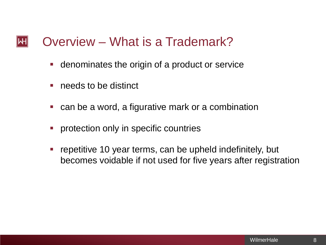#### Overview – What is a Trademark?  $\mathsf{|\mathsf{H}|}$

- denominates the origin of a product or service
- **needs to be distinct**
- can be a word, a figurative mark or a combination
- **•** protection only in specific countries
- **F** repetitive 10 year terms, can be upheld indefinitely, but becomes voidable if not used for five years after registration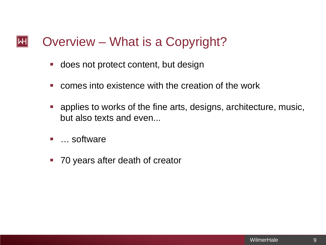#### Overview – What is a Copyright?  $\mathsf{|\mathsf{H}|}$

- **does not protect content, but design**
- **E** comes into existence with the creation of the work
- **•** applies to works of the fine arts, designs, architecture, music, but also texts and even...
- … software
- **70 years after death of creator**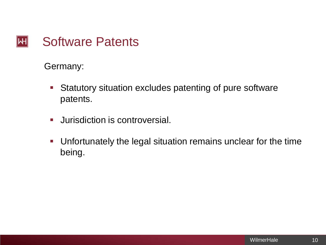#### Software Patents  $\mathsf{H}\mathsf{H}$

Germany:

- Statutory situation excludes patenting of pure software patents.
- **Jurisdiction is controversial.**
- Unfortunately the legal situation remains unclear for the time being.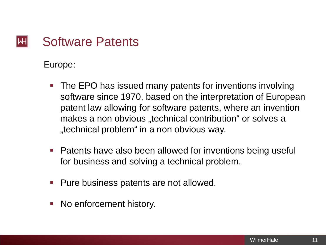#### Software Patents  $\mathsf{|\mathsf{H}|}$

Europe:

- **The EPO has issued many patents for inventions involving** software since 1970, based on the interpretation of European patent law allowing for software patents, where an invention makes a non obvious "technical contribution" or solves a "technical problem" in a non obvious way.
- Patents have also been allowed for inventions being useful for business and solving a technical problem.
- **Pure business patents are not allowed.**
- No enforcement history.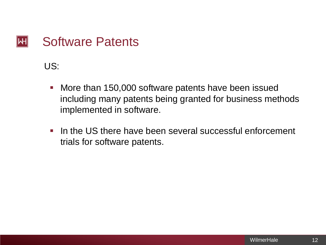#### Software Patents  $\left\Vert \mathsf{H}\right\Vert$

US:

- **Nore than 150,000 software patents have been issued** including many patents being granted for business methods implemented in software.
- In the US there have been several successful enforcement trials for software patents.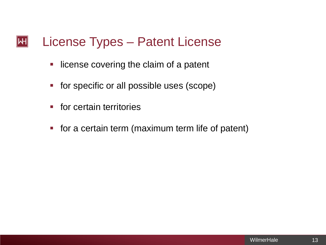#### License Types – Patent License  $\left\Vert \mathsf{H}\right\Vert$

- **-** license covering the claim of a patent
- **for specific or all possible uses (scope)**
- **for certain territories**
- **for a certain term (maximum term life of patent)**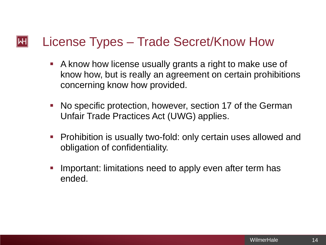#### $\left\Vert \mathsf{H}\right\Vert$ License Types – Trade Secret/Know How

- A know how license usually grants a right to make use of know how, but is really an agreement on certain prohibitions concerning know how provided.
- No specific protection, however, section 17 of the German Unfair Trade Practices Act (UWG) applies.
- **Prohibition is usually two-fold: only certain uses allowed and** obligation of confidentiality.
- Important: limitations need to apply even after term has ended.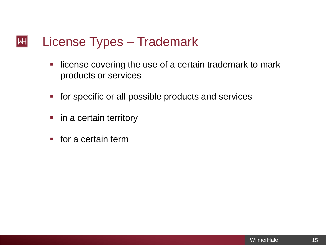#### License Types – Trademark  $\left\Vert \mathsf{H}\right\Vert$

- **-** license covering the use of a certain trademark to mark products or services
- **for specific or all possible products and services**
- in a certain territory
- $\blacksquare$  for a certain term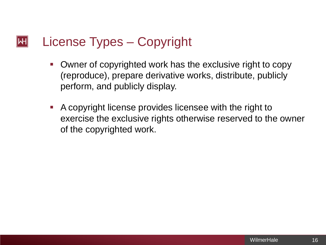#### $\left\Vert \mathsf{H}\right\Vert$ License Types – Copyright

- Owner of copyrighted work has the exclusive right to copy (reproduce), prepare derivative works, distribute, publicly perform, and publicly display.
- A copyright license provides licensee with the right to exercise the exclusive rights otherwise reserved to the owner of the copyrighted work.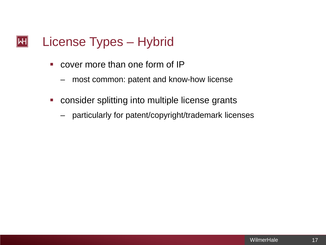#### License Types – Hybrid  $\left\Vert \mathsf{H}\right\Vert$

- cover more than one form of IP
	- most common: patent and know-how license
- consider splitting into multiple license grants
	- particularly for patent/copyright/trademark licenses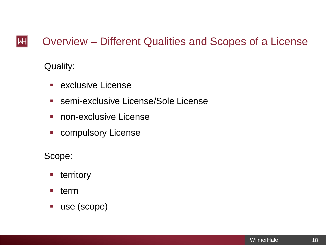#### $\left\Vert \mathsf{H}\right\Vert$ Overview – Different Qualities and Scopes of a License

Quality:

- **Exclusive License**
- semi-exclusive License/Sole License
- **non-exclusive License**
- **E** compulsory License

Scope:

- **territory**
- **u** term
- use (scope)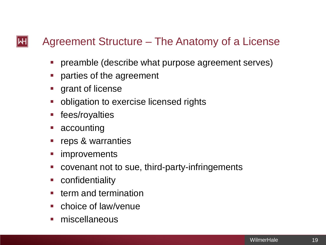## Agreement Structure – The Anatomy of a License

- preamble (describe what purpose agreement serves)
- **Permierent Propert Propert Propert Propert Propert Propert Propert Propert Properties**
- **grant of license**
- **obligation to exercise licensed rights**
- **F** fees/royalties
- accounting

 $\left\Vert \mathsf{H}\right\Vert$ 

- reps & warranties
- improvements
- covenant not to sue, third-party-infringements
- confidentiality
- term and termination
- choice of law/venue
- miscellaneous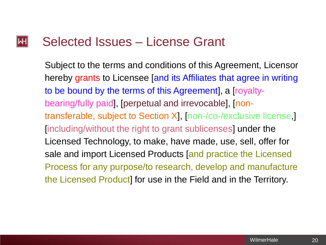#### $\left\Vert \mathsf{H}\right\Vert$ Selected Issues – License Grant

Subject to the terms and conditions of this Agreement, Licensor hereby grants to Licensee [and its Affiliates that agree in writing to be bound by the terms of this Agreement], a [royaltybearing/fully paid], [perpetual and irrevocable], [nontransferable, subject to Section X], [non-/co-/exclusive license,] [including/without the right to grant sublicenses] under the Licensed Technology, to make, have made, use, sell, offer for sale and import Licensed Products [and practice the Licensed Process for any purpose/to research, develop and manufacture the Licensed Product] for use in the Field and in the Territory.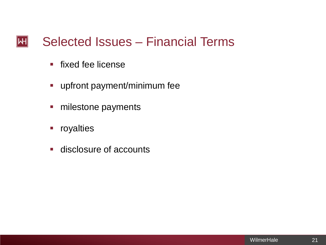#### Selected Issues – Financial Terms  $|\mathsf{H}|$

- **fixed fee license**
- upfront payment/minimum fee
- milestone payments
- **•** royalties
- **disclosure of accounts**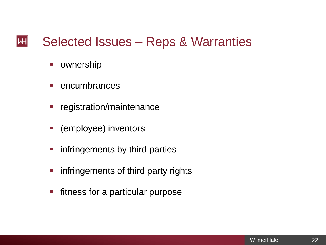#### Selected Issues – Reps & Warranties  $\left\Vert \mathsf{H}\right\Vert$

- **•** ownership
- $\blacksquare$  encumbrances
- **Figure 1 registration/maintenance**
- (employee) inventors
- **F** infringements by third parties
- **F** infringements of third party rights
- **Fitness for a particular purpose**

22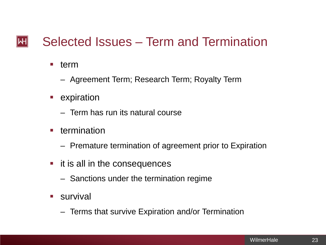#### Selected Issues – Term and Termination  $\mathsf{|\mathsf{H}|}$

- term
	- Agreement Term; Research Term; Royalty Term
- **E** expiration
	- Term has run its natural course
- **termination** 
	- Premature termination of agreement prior to Expiration
- **if it is all in the consequences** 
	- Sanctions under the termination regime
- **survival** 
	- Terms that survive Expiration and/or Termination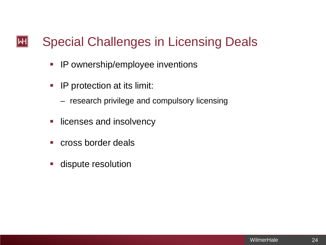#### Special Challenges in Licensing Deals  $\left\Vert \mathsf{H}\right\Vert$

- **IP ownership/employee inventions**
- **IP protection at its limit:** 
	- research privilege and compulsory licensing
- **-** licenses and insolvency
- **E** cross border deals
- **dispute resolution**